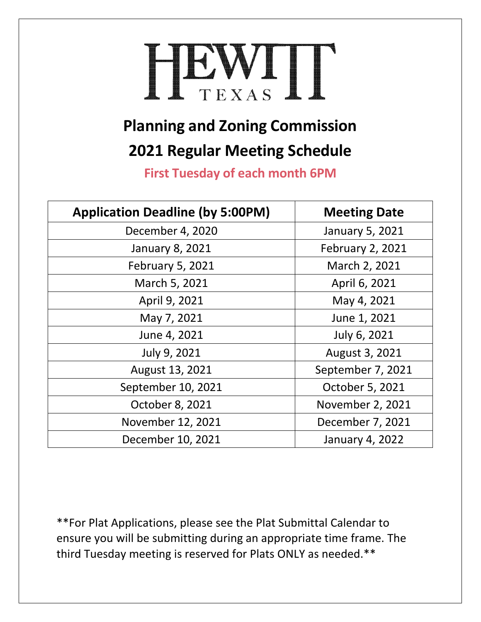## HEWIT

## **Planning and Zoning Commission 2021 Regular Meeting Schedule**

**First Tuesday of each month 6PM**

| <b>Application Deadline (by 5:00PM)</b> | <b>Meeting Date</b>     |
|-----------------------------------------|-------------------------|
| December 4, 2020                        | January 5, 2021         |
| January 8, 2021                         | <b>February 2, 2021</b> |
| <b>February 5, 2021</b>                 | March 2, 2021           |
| March 5, 2021                           | April 6, 2021           |
| April 9, 2021                           | May 4, 2021             |
| May 7, 2021                             | June 1, 2021            |
| June 4, 2021                            | July 6, 2021            |
| July 9, 2021                            | August 3, 2021          |
| August 13, 2021                         | September 7, 2021       |
| September 10, 2021                      | October 5, 2021         |
| October 8, 2021                         | November 2, 2021        |
| November 12, 2021                       | December 7, 2021        |
| December 10, 2021                       | January 4, 2022         |

\*\*For Plat Applications, please see the Plat Submittal Calendar to ensure you will be submitting during an appropriate time frame. The third Tuesday meeting is reserved for Plats ONLY as needed.\*\*